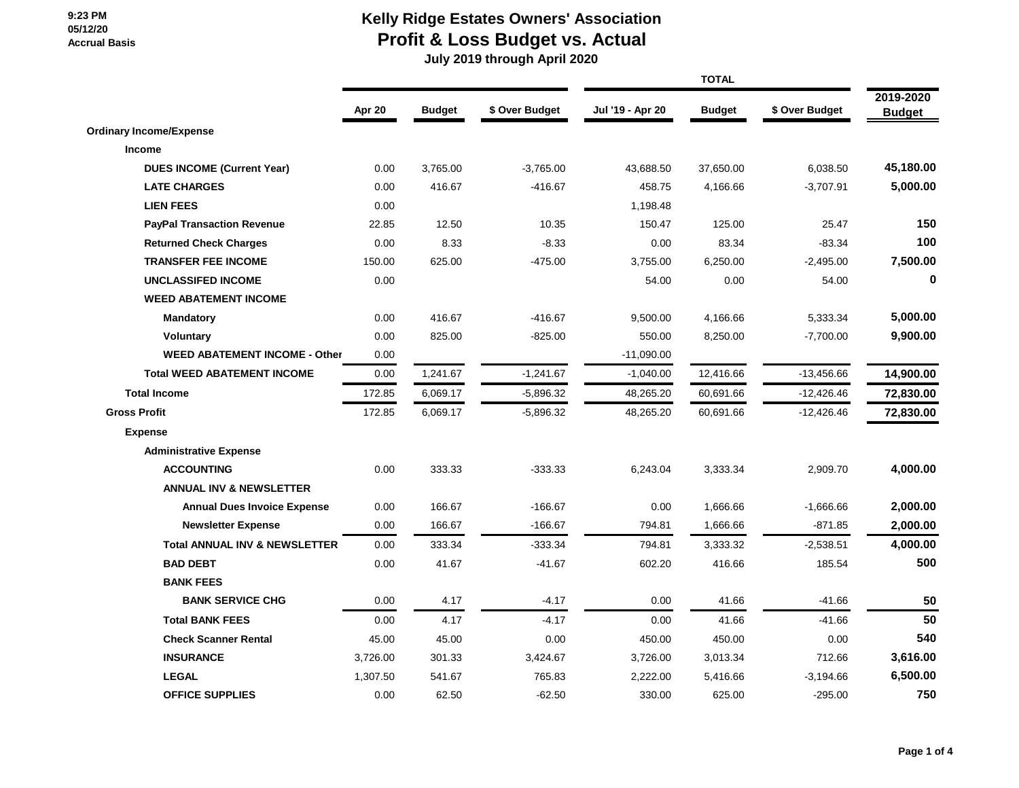### **Kelly Ridge Estates Owners' Association Profit & Loss Budget vs. Actual**

|                                          |          |               |                | <b>TOTAL</b>     |               |                |                            |
|------------------------------------------|----------|---------------|----------------|------------------|---------------|----------------|----------------------------|
|                                          | Apr 20   | <b>Budget</b> | \$ Over Budget | Jul '19 - Apr 20 | <b>Budget</b> | \$ Over Budget | 2019-2020<br><b>Budget</b> |
| <b>Ordinary Income/Expense</b>           |          |               |                |                  |               |                |                            |
| Income                                   |          |               |                |                  |               |                |                            |
| <b>DUES INCOME (Current Year)</b>        | 0.00     | 3,765.00      | $-3,765.00$    | 43,688.50        | 37,650.00     | 6,038.50       | 45,180.00                  |
| <b>LATE CHARGES</b>                      | 0.00     | 416.67        | $-416.67$      | 458.75           | 4,166.66      | $-3,707.91$    | 5,000.00                   |
| <b>LIEN FEES</b>                         | 0.00     |               |                | 1,198.48         |               |                |                            |
| <b>PayPal Transaction Revenue</b>        | 22.85    | 12.50         | 10.35          | 150.47           | 125.00        | 25.47          | 150                        |
| <b>Returned Check Charges</b>            | 0.00     | 8.33          | $-8.33$        | 0.00             | 83.34         | $-83.34$       | 100                        |
| <b>TRANSFER FEE INCOME</b>               | 150.00   | 625.00        | $-475.00$      | 3,755.00         | 6,250.00      | $-2,495.00$    | 7,500.00                   |
| <b>UNCLASSIFED INCOME</b>                | 0.00     |               |                | 54.00            | 0.00          | 54.00          | $\mathbf 0$                |
| <b>WEED ABATEMENT INCOME</b>             |          |               |                |                  |               |                |                            |
| <b>Mandatory</b>                         | 0.00     | 416.67        | $-416.67$      | 9,500.00         | 4,166.66      | 5,333.34       | 5,000.00                   |
| <b>Voluntary</b>                         | 0.00     | 825.00        | $-825.00$      | 550.00           | 8,250.00      | $-7,700.00$    | 9,900.00                   |
| <b>WEED ABATEMENT INCOME - Other</b>     | 0.00     |               |                | $-11,090.00$     |               |                |                            |
| <b>Total WEED ABATEMENT INCOME</b>       | 0.00     | 1,241.67      | $-1,241.67$    | $-1,040.00$      | 12,416.66     | $-13,456.66$   | 14,900.00                  |
| <b>Total Income</b>                      | 172.85   | 6,069.17      | $-5,896.32$    | 48,265.20        | 60,691.66     | $-12,426.46$   | 72,830.00                  |
| <b>Gross Profit</b>                      | 172.85   | 6,069.17      | $-5,896.32$    | 48,265.20        | 60,691.66     | $-12,426.46$   | 72,830.00                  |
| <b>Expense</b>                           |          |               |                |                  |               |                |                            |
| <b>Administrative Expense</b>            |          |               |                |                  |               |                |                            |
| <b>ACCOUNTING</b>                        | 0.00     | 333.33        | $-333.33$      | 6,243.04         | 3,333.34      | 2,909.70       | 4,000.00                   |
| <b>ANNUAL INV &amp; NEWSLETTER</b>       |          |               |                |                  |               |                |                            |
| <b>Annual Dues Invoice Expense</b>       | 0.00     | 166.67        | $-166.67$      | 0.00             | 1,666.66      | $-1,666.66$    | 2,000.00                   |
| <b>Newsletter Expense</b>                | 0.00     | 166.67        | $-166.67$      | 794.81           | 1,666.66      | $-871.85$      | 2,000.00                   |
| <b>Total ANNUAL INV &amp; NEWSLETTER</b> | 0.00     | 333.34        | $-333.34$      | 794.81           | 3,333.32      | $-2,538.51$    | 4,000.00                   |
| <b>BAD DEBT</b>                          | 0.00     | 41.67         | $-41.67$       | 602.20           | 416.66        | 185.54         | 500                        |
| <b>BANK FEES</b>                         |          |               |                |                  |               |                |                            |
| <b>BANK SERVICE CHG</b>                  | 0.00     | 4.17          | $-4.17$        | 0.00             | 41.66         | $-41.66$       | 50                         |
| <b>Total BANK FEES</b>                   | 0.00     | 4.17          | $-4.17$        | 0.00             | 41.66         | $-41.66$       | 50                         |
| <b>Check Scanner Rental</b>              | 45.00    | 45.00         | 0.00           | 450.00           | 450.00        | 0.00           | 540                        |
| <b>INSURANCE</b>                         | 3,726.00 | 301.33        | 3,424.67       | 3,726.00         | 3,013.34      | 712.66         | 3,616.00                   |
| <b>LEGAL</b>                             | 1,307.50 | 541.67        | 765.83         | 2.222.00         | 5,416.66      | $-3,194.66$    | 6,500.00                   |
| <b>OFFICE SUPPLIES</b>                   | 0.00     | 62.50         | $-62.50$       | 330.00           | 625.00        | $-295.00$      | 750                        |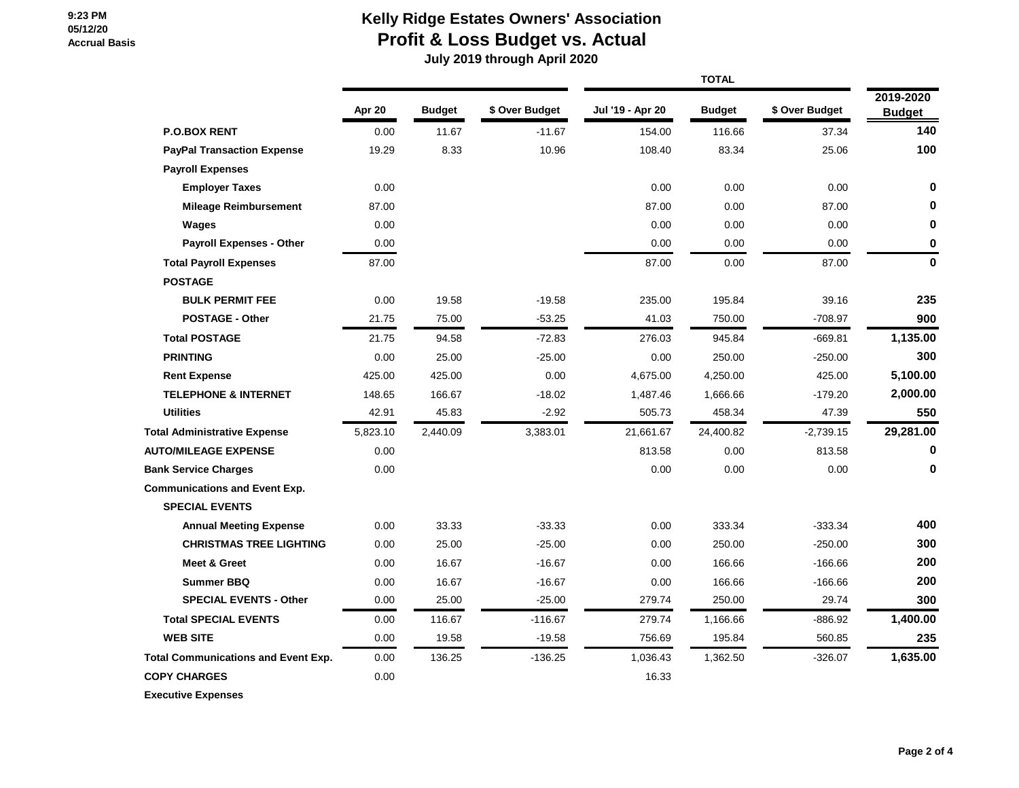# **Kelly Ridge Estates Owners' Association Profit & Loss Budget vs. Actual**

|                                            | Apr 20   | <b>Budget</b> | \$ Over Budget | Jul '19 - Apr 20 | <b>Budget</b> | \$ Over Budget | 2019-2020<br><b>Budget</b> |
|--------------------------------------------|----------|---------------|----------------|------------------|---------------|----------------|----------------------------|
| <b>P.O.BOX RENT</b>                        | 0.00     | 11.67         | $-11.67$       | 154.00           | 116.66        | 37.34          | 140                        |
| <b>PayPal Transaction Expense</b>          | 19.29    | 8.33          | 10.96          | 108.40           | 83.34         | 25.06          | 100                        |
| <b>Payroll Expenses</b>                    |          |               |                |                  |               |                |                            |
| <b>Employer Taxes</b>                      | 0.00     |               |                | 0.00             | 0.00          | 0.00           | $\bf{0}$                   |
| <b>Mileage Reimbursement</b>               | 87.00    |               |                | 87.00            | 0.00          | 87.00          | 0                          |
| Wages                                      | 0.00     |               |                | 0.00             | 0.00          | 0.00           | 0                          |
| <b>Payroll Expenses - Other</b>            | 0.00     |               |                | 0.00             | 0.00          | 0.00           | 0                          |
| <b>Total Payroll Expenses</b>              | 87.00    |               |                | 87.00            | 0.00          | 87.00          | $\mathbf 0$                |
| <b>POSTAGE</b>                             |          |               |                |                  |               |                |                            |
| <b>BULK PERMIT FEE</b>                     | 0.00     | 19.58         | $-19.58$       | 235.00           | 195.84        | 39.16          | 235                        |
| <b>POSTAGE - Other</b>                     | 21.75    | 75.00         | $-53.25$       | 41.03            | 750.00        | $-708.97$      | 900                        |
| <b>Total POSTAGE</b>                       | 21.75    | 94.58         | $-72.83$       | 276.03           | 945.84        | $-669.81$      | 1,135.00                   |
| <b>PRINTING</b>                            | 0.00     | 25.00         | $-25.00$       | 0.00             | 250.00        | $-250.00$      | 300                        |
| <b>Rent Expense</b>                        | 425.00   | 425.00        | 0.00           | 4,675.00         | 4,250.00      | 425.00         | 5,100.00                   |
| <b>TELEPHONE &amp; INTERNET</b>            | 148.65   | 166.67        | $-18.02$       | 1,487.46         | 1,666.66      | $-179.20$      | 2,000.00                   |
| <b>Utilities</b>                           | 42.91    | 45.83         | $-2.92$        | 505.73           | 458.34        | 47.39          | 550                        |
| <b>Total Administrative Expense</b>        | 5,823.10 | 2,440.09      | 3,383.01       | 21,661.67        | 24,400.82     | $-2,739.15$    | 29,281.00                  |
| <b>AUTO/MILEAGE EXPENSE</b>                | 0.00     |               |                | 813.58           | 0.00          | 813.58         | 0                          |
| <b>Bank Service Charges</b>                | 0.00     |               |                | 0.00             | 0.00          | 0.00           | $\bf{0}$                   |
| <b>Communications and Event Exp.</b>       |          |               |                |                  |               |                |                            |
| <b>SPECIAL EVENTS</b>                      |          |               |                |                  |               |                |                            |
| <b>Annual Meeting Expense</b>              | 0.00     | 33.33         | $-33.33$       | 0.00             | 333.34        | $-333.34$      | 400                        |
| <b>CHRISTMAS TREE LIGHTING</b>             | 0.00     | 25.00         | $-25.00$       | 0.00             | 250.00        | $-250.00$      | 300                        |
| <b>Meet &amp; Greet</b>                    | 0.00     | 16.67         | $-16.67$       | 0.00             | 166.66        | $-166.66$      | 200                        |
| <b>Summer BBQ</b>                          | 0.00     | 16.67         | $-16.67$       | 0.00             | 166.66        | $-166.66$      | 200                        |
| <b>SPECIAL EVENTS - Other</b>              | 0.00     | 25.00         | $-25.00$       | 279.74           | 250.00        | 29.74          | 300                        |
| <b>Total SPECIAL EVENTS</b>                | 0.00     | 116.67        | $-116.67$      | 279.74           | 1,166.66      | -886.92        | 1,400.00                   |
| <b>WEB SITE</b>                            | 0.00     | 19.58         | $-19.58$       | 756.69           | 195.84        | 560.85         | 235                        |
| <b>Total Communications and Event Exp.</b> | 0.00     | 136.25        | $-136.25$      | 1,036.43         | 1,362.50      | $-326.07$      | 1,635.00                   |
| <b>COPY CHARGES</b>                        | 0.00     |               |                | 16.33            |               |                |                            |
| <b>Executive Expenses</b>                  |          |               |                |                  |               |                |                            |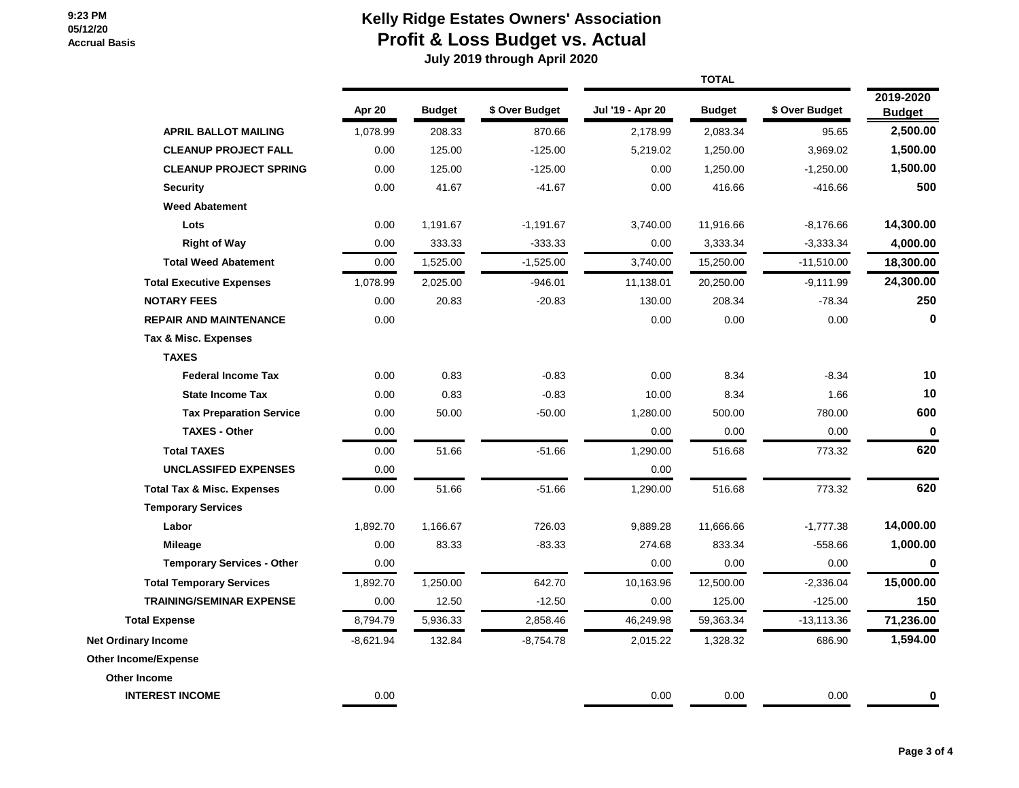# **Kelly Ridge Estates Owners' Association Profit & Loss Budget vs. Actual**

|                                       | Apr 20      | <b>Budget</b> | \$ Over Budget | Jul '19 - Apr 20 | <b>Budget</b> | \$ Over Budget | 2019-2020<br><b>Budget</b> |
|---------------------------------------|-------------|---------------|----------------|------------------|---------------|----------------|----------------------------|
| <b>APRIL BALLOT MAILING</b>           | 1,078.99    | 208.33        | 870.66         | 2,178.99         | 2,083.34      | 95.65          | 2,500.00                   |
| <b>CLEANUP PROJECT FALL</b>           | 0.00        | 125.00        | $-125.00$      | 5,219.02         | 1,250.00      | 3,969.02       | 1,500.00                   |
| <b>CLEANUP PROJECT SPRING</b>         | 0.00        | 125.00        | $-125.00$      | 0.00             | 1,250.00      | $-1,250.00$    | 1,500.00                   |
| <b>Security</b>                       | 0.00        | 41.67         | $-41.67$       | 0.00             | 416.66        | $-416.66$      | 500                        |
| <b>Weed Abatement</b>                 |             |               |                |                  |               |                |                            |
| Lots                                  | 0.00        | 1,191.67      | $-1,191.67$    | 3,740.00         | 11,916.66     | $-8,176.66$    | 14,300.00                  |
| <b>Right of Way</b>                   | 0.00        | 333.33        | $-333.33$      | 0.00             | 3,333.34      | $-3,333.34$    | 4,000.00                   |
| <b>Total Weed Abatement</b>           | 0.00        | 1,525.00      | $-1,525.00$    | 3,740.00         | 15,250.00     | $-11,510.00$   | 18,300.00                  |
| <b>Total Executive Expenses</b>       | 1,078.99    | 2,025.00      | $-946.01$      | 11,138.01        | 20,250.00     | $-9,111.99$    | 24,300.00                  |
| <b>NOTARY FEES</b>                    | 0.00        | 20.83         | $-20.83$       | 130.00           | 208.34        | $-78.34$       | 250                        |
| <b>REPAIR AND MAINTENANCE</b>         | 0.00        |               |                | 0.00             | 0.00          | 0.00           | $\bf{0}$                   |
| Tax & Misc. Expenses                  |             |               |                |                  |               |                |                            |
| <b>TAXES</b>                          |             |               |                |                  |               |                |                            |
| <b>Federal Income Tax</b>             | 0.00        | 0.83          | $-0.83$        | 0.00             | 8.34          | $-8.34$        | 10                         |
| <b>State Income Tax</b>               | 0.00        | 0.83          | $-0.83$        | 10.00            | 8.34          | 1.66           | 10                         |
| <b>Tax Preparation Service</b>        | 0.00        | 50.00         | $-50.00$       | 1,280.00         | 500.00        | 780.00         | 600                        |
| <b>TAXES - Other</b>                  | 0.00        |               |                | 0.00             | 0.00          | 0.00           | $\bf{0}$                   |
| <b>Total TAXES</b>                    | 0.00        | 51.66         | $-51.66$       | 1,290.00         | 516.68        | 773.32         | 620                        |
| <b>UNCLASSIFED EXPENSES</b>           | 0.00        |               |                | 0.00             |               |                |                            |
| <b>Total Tax &amp; Misc. Expenses</b> | 0.00        | 51.66         | $-51.66$       | 1,290.00         | 516.68        | 773.32         | 620                        |
| <b>Temporary Services</b>             |             |               |                |                  |               |                |                            |
| Labor                                 | 1,892.70    | 1,166.67      | 726.03         | 9,889.28         | 11,666.66     | $-1,777.38$    | 14,000.00                  |
| Mileage                               | 0.00        | 83.33         | $-83.33$       | 274.68           | 833.34        | $-558.66$      | 1,000.00                   |
| <b>Temporary Services - Other</b>     | 0.00        |               |                | 0.00             | 0.00          | 0.00           | $\mathbf 0$                |
| <b>Total Temporary Services</b>       | 1,892.70    | 1,250.00      | 642.70         | 10,163.96        | 12,500.00     | $-2,336.04$    | 15,000.00                  |
| <b>TRAINING/SEMINAR EXPENSE</b>       | 0.00        | 12.50         | $-12.50$       | 0.00             | 125.00        | $-125.00$      | 150                        |
| <b>Total Expense</b>                  | 8,794.79    | 5,936.33      | 2,858.46       | 46,249.98        | 59,363.34     | $-13,113.36$   | 71,236.00                  |
| <b>Net Ordinary Income</b>            | $-8,621.94$ | 132.84        | $-8,754.78$    | 2,015.22         | 1,328.32      | 686.90         | 1,594.00                   |
| <b>Other Income/Expense</b>           |             |               |                |                  |               |                |                            |
| <b>Other Income</b>                   |             |               |                |                  |               |                |                            |
| <b>INTEREST INCOME</b>                | 0.00        |               |                | 0.00             | 0.00          | 0.00           | $\bf{0}$                   |